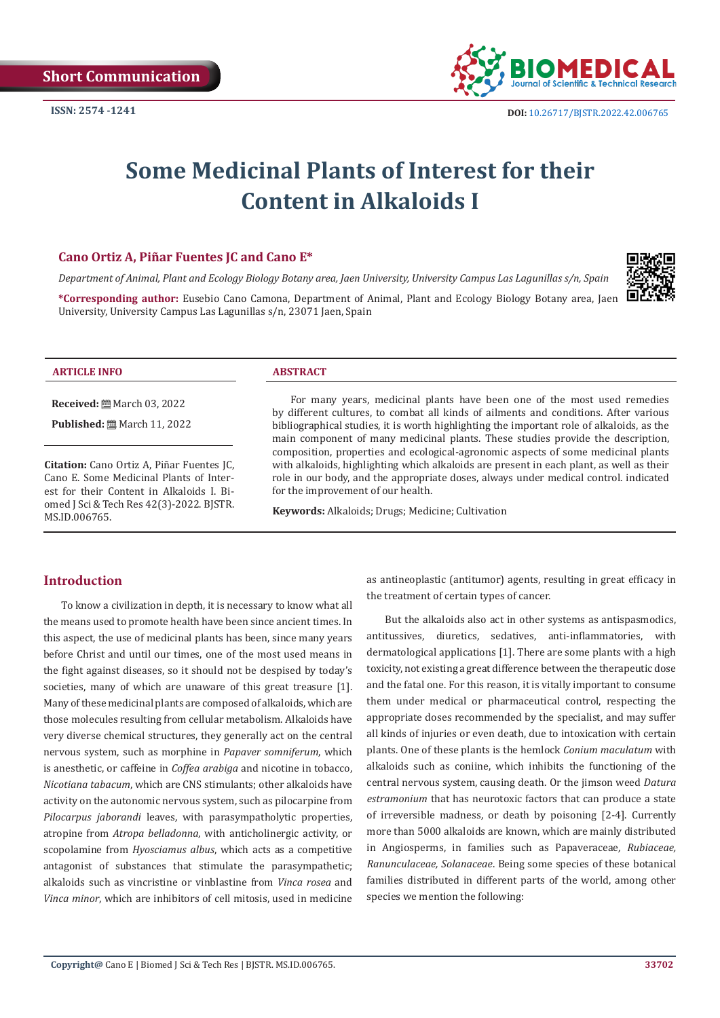

# **Some Medicinal Plants of Interest for their Content in Alkaloids I**

# **Cano Ortiz A, Piñar Fuentes JC and Cano E\***

*Department of Animal, Plant and Ecology Biology Botany area, Jaen University, University Campus Las Lagunillas s/n, Spain*

**\*Corresponding author:** Eusebio Cano Camona, Department of Animal, Plant and Ecology Biology Botany area, Jaen University, University Campus Las Lagunillas s/n, 23071 Jaen, Spain



#### **ARTICLE INFO ABSTRACT**

**Received:** March 03, 2022

**Published:** ■ March 11, 2022

**Citation:** Cano Ortiz A, Piñar Fuentes JC, Cano E. Some Medicinal Plants of Interest for their Content in Alkaloids I. Biomed J Sci & Tech Res 42(3)-2022. BJSTR. MS.ID.006765.

For many years, medicinal plants have been one of the most used remedies by different cultures, to combat all kinds of ailments and conditions. After various bibliographical studies, it is worth highlighting the important role of alkaloids, as the main component of many medicinal plants. These studies provide the description, composition, properties and ecological-agronomic aspects of some medicinal plants with alkaloids, highlighting which alkaloids are present in each plant, as well as their role in our body, and the appropriate doses, always under medical control. indicated for the improvement of our health.

**Keywords:** Alkaloids; Drugs; Medicine; Cultivation

# **Introduction**

To know a civilization in depth, it is necessary to know what all the means used to promote health have been since ancient times. In this aspect, the use of medicinal plants has been, since many years before Christ and until our times, one of the most used means in the fight against diseases, so it should not be despised by today's societies, many of which are unaware of this great treasure [1]. Many of these medicinal plants are composed of alkaloids, which are those molecules resulting from cellular metabolism. Alkaloids have very diverse chemical structures, they generally act on the central nervous system, such as morphine in *Papaver somniferum*, which is anesthetic, or caffeine in *Coffea arabiga* and nicotine in tobacco, *Nicotiana tabacum*, which are CNS stimulants; other alkaloids have activity on the autonomic nervous system, such as pilocarpine from *Pilocarpus jaborandi* leaves, with parasympatholytic properties, atropine from *Atropa belladonna*, with anticholinergic activity, or scopolamine from *Hyosciamus albus*, which acts as a competitive antagonist of substances that stimulate the parasympathetic; alkaloids such as vincristine or vinblastine from *Vinca rosea* and *Vinca minor*, which are inhibitors of cell mitosis, used in medicine as antineoplastic (antitumor) agents, resulting in great efficacy in the treatment of certain types of cancer.

But the alkaloids also act in other systems as antispasmodics, antitussives, diuretics, sedatives, anti-inflammatories, with dermatological applications [1]. There are some plants with a high toxicity, not existing a great difference between the therapeutic dose and the fatal one. For this reason, it is vitally important to consume them under medical or pharmaceutical control, respecting the appropriate doses recommended by the specialist, and may suffer all kinds of injuries or even death, due to intoxication with certain plants. One of these plants is the hemlock *Conium maculatum* with alkaloids such as coniine, which inhibits the functioning of the central nervous system, causing death. Or the jimson weed *Datura estramonium* that has neurotoxic factors that can produce a state of irreversible madness, or death by poisoning [2-4]. Currently more than 5000 alkaloids are known, which are mainly distributed in Angiosperms, in families such as Papaveraceae*, Rubiaceae, Ranunculaceae, Solanaceae*. Being some species of these botanical families distributed in different parts of the world, among other species we mention the following: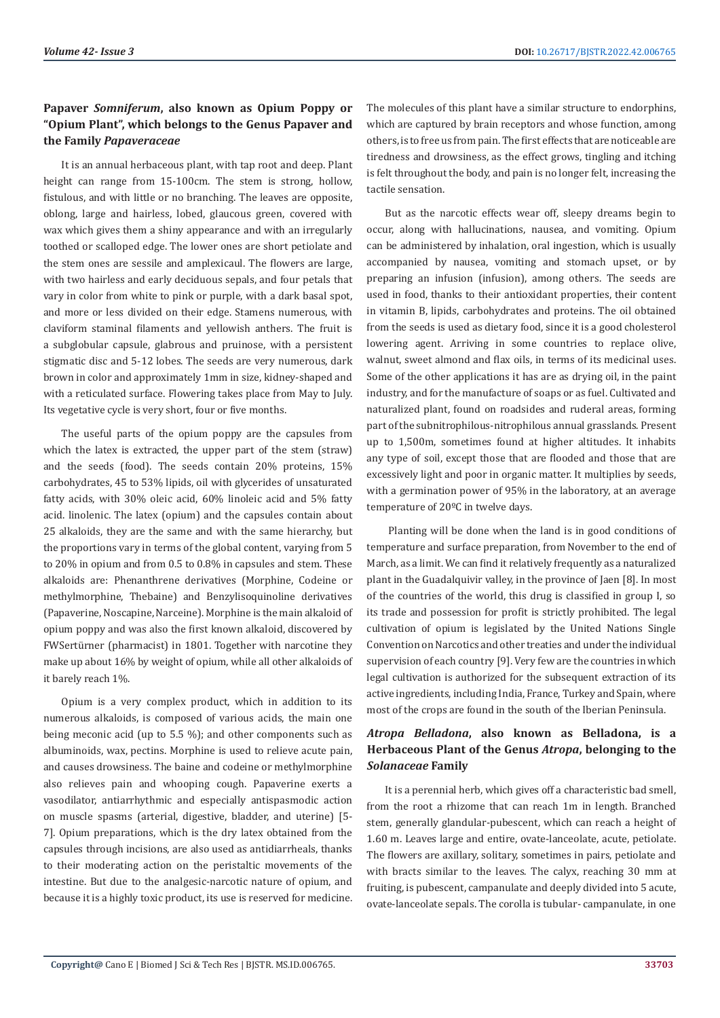# **Papaver** *Somniferum***, also known as Opium Poppy or "Opium Plant", which belongs to the Genus Papaver and the Family** *Papaveraceae*

It is an annual herbaceous plant, with tap root and deep. Plant height can range from 15-100cm. The stem is strong, hollow, fistulous, and with little or no branching. The leaves are opposite, oblong, large and hairless, lobed, glaucous green, covered with wax which gives them a shiny appearance and with an irregularly toothed or scalloped edge. The lower ones are short petiolate and the stem ones are sessile and amplexicaul. The flowers are large, with two hairless and early deciduous sepals, and four petals that vary in color from white to pink or purple, with a dark basal spot, and more or less divided on their edge. Stamens numerous, with claviform staminal filaments and yellowish anthers. The fruit is a subglobular capsule, glabrous and pruinose, with a persistent stigmatic disc and 5-12 lobes. The seeds are very numerous, dark brown in color and approximately 1mm in size, kidney-shaped and with a reticulated surface. Flowering takes place from May to July. Its vegetative cycle is very short, four or five months.

The useful parts of the opium poppy are the capsules from which the latex is extracted, the upper part of the stem (straw) and the seeds (food). The seeds contain 20% proteins, 15% carbohydrates, 45 to 53% lipids, oil with glycerides of unsaturated fatty acids, with 30% oleic acid, 60% linoleic acid and 5% fatty acid. linolenic. The latex (opium) and the capsules contain about 25 alkaloids, they are the same and with the same hierarchy, but the proportions vary in terms of the global content, varying from 5 to 20% in opium and from 0.5 to 0.8% in capsules and stem. These alkaloids are: Phenanthrene derivatives (Morphine, Codeine or methylmorphine, Thebaine) and Benzylisoquinoline derivatives (Papaverine, Noscapine, Narceine). Morphine is the main alkaloid of opium poppy and was also the first known alkaloid, discovered by FWSertürner (pharmacist) in 1801. Together with narcotine they make up about 16% by weight of opium, while all other alkaloids of it barely reach 1%.

Opium is a very complex product, which in addition to its numerous alkaloids, is composed of various acids, the main one being meconic acid (up to 5.5 %); and other components such as albuminoids, wax, pectins. Morphine is used to relieve acute pain, and causes drowsiness. The baine and codeine or methylmorphine also relieves pain and whooping cough. Papaverine exerts a vasodilator, antiarrhythmic and especially antispasmodic action on muscle spasms (arterial, digestive, bladder, and uterine) [5- 7]. Opium preparations, which is the dry latex obtained from the capsules through incisions, are also used as antidiarrheals, thanks to their moderating action on the peristaltic movements of the intestine. But due to the analgesic-narcotic nature of opium, and because it is a highly toxic product, its use is reserved for medicine. The molecules of this plant have a similar structure to endorphins, which are captured by brain receptors and whose function, among others, is to free us from pain. The first effects that are noticeable are tiredness and drowsiness, as the effect grows, tingling and itching is felt throughout the body, and pain is no longer felt, increasing the tactile sensation.

But as the narcotic effects wear off, sleepy dreams begin to occur, along with hallucinations, nausea, and vomiting. Opium can be administered by inhalation, oral ingestion, which is usually accompanied by nausea, vomiting and stomach upset, or by preparing an infusion (infusion), among others. The seeds are used in food, thanks to their antioxidant properties, their content in vitamin B, lipids, carbohydrates and proteins. The oil obtained from the seeds is used as dietary food, since it is a good cholesterol lowering agent. Arriving in some countries to replace olive, walnut, sweet almond and flax oils, in terms of its medicinal uses. Some of the other applications it has are as drying oil, in the paint industry, and for the manufacture of soaps or as fuel. Cultivated and naturalized plant, found on roadsides and ruderal areas, forming part of the subnitrophilous-nitrophilous annual grasslands. Present up to 1,500m, sometimes found at higher altitudes. It inhabits any type of soil, except those that are flooded and those that are excessively light and poor in organic matter. It multiplies by seeds, with a germination power of 95% in the laboratory, at an average temperature of 20ºC in twelve days.

 Planting will be done when the land is in good conditions of temperature and surface preparation, from November to the end of March, as a limit. We can find it relatively frequently as a naturalized plant in the Guadalquivir valley, in the province of Jaen [8]. In most of the countries of the world, this drug is classified in group I, so its trade and possession for profit is strictly prohibited. The legal cultivation of opium is legislated by the United Nations Single Convention on Narcotics and other treaties and under the individual supervision of each country [9]. Very few are the countries in which legal cultivation is authorized for the subsequent extraction of its active ingredients, including India, France, Turkey and Spain, where most of the crops are found in the south of the Iberian Peninsula.

# *Atropa Belladona***, also known as Belladona, is a Herbaceous Plant of the Genus** *Atropa***, belonging to the**  *Solanaceae* **Family**

It is a perennial herb, which gives off a characteristic bad smell, from the root a rhizome that can reach 1m in length. Branched stem, generally glandular-pubescent, which can reach a height of 1.60 m. Leaves large and entire, ovate-lanceolate, acute, petiolate. The flowers are axillary, solitary, sometimes in pairs, petiolate and with bracts similar to the leaves. The calyx, reaching 30 mm at fruiting, is pubescent, campanulate and deeply divided into 5 acute, ovate-lanceolate sepals. The corolla is tubular- campanulate, in one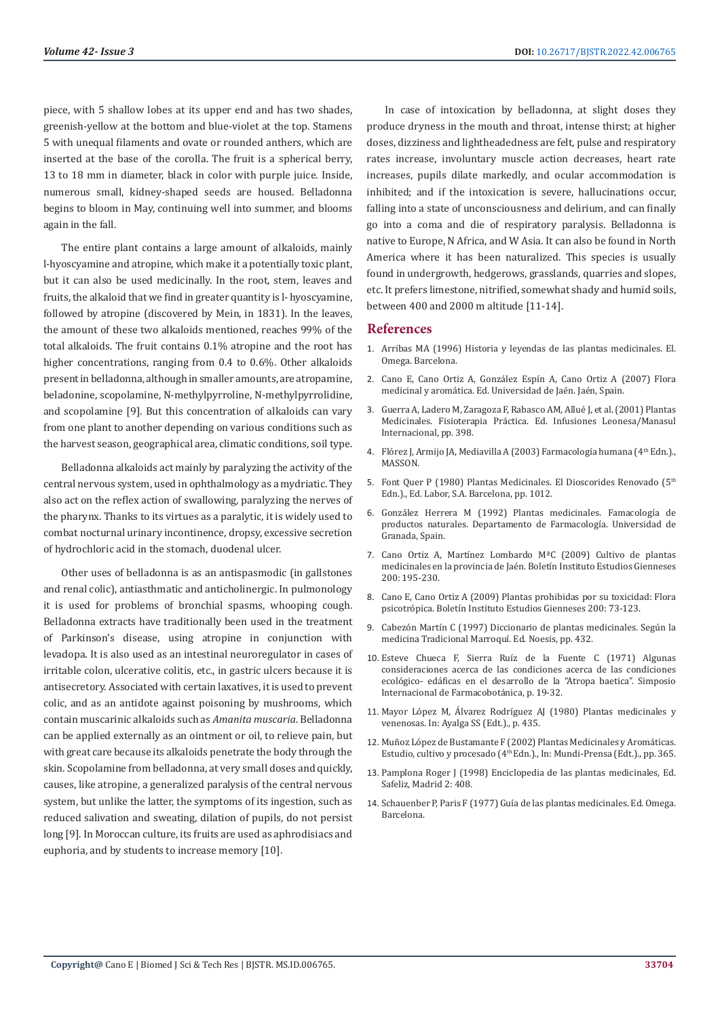piece, with 5 shallow lobes at its upper end and has two shades, greenish-yellow at the bottom and blue-violet at the top. Stamens 5 with unequal filaments and ovate or rounded anthers, which are inserted at the base of the corolla. The fruit is a spherical berry, 13 to 18 mm in diameter, black in color with purple juice. Inside, numerous small, kidney-shaped seeds are housed. Belladonna begins to bloom in May, continuing well into summer, and blooms again in the fall.

The entire plant contains a large amount of alkaloids, mainly l-hyoscyamine and atropine, which make it a potentially toxic plant, but it can also be used medicinally. In the root, stem, leaves and fruits, the alkaloid that we find in greater quantity is l- hyoscyamine, followed by atropine (discovered by Mein, in 1831). In the leaves, the amount of these two alkaloids mentioned, reaches 99% of the total alkaloids. The fruit contains 0.1% atropine and the root has higher concentrations, ranging from 0.4 to 0.6%. Other alkaloids present in belladonna, although in smaller amounts, are atropamine, beladonine, scopolamine, N-methylpyrroline, N-methylpyrrolidine, and scopolamine [9]. But this concentration of alkaloids can vary from one plant to another depending on various conditions such as the harvest season, geographical area, climatic conditions, soil type.

Belladonna alkaloids act mainly by paralyzing the activity of the central nervous system, used in ophthalmology as a mydriatic. They also act on the reflex action of swallowing, paralyzing the nerves of the pharynx. Thanks to its virtues as a paralytic, it is widely used to combat nocturnal urinary incontinence, dropsy, excessive secretion of hydrochloric acid in the stomach, duodenal ulcer.

Other uses of belladonna is as an antispasmodic (in gallstones and renal colic), antiasthmatic and anticholinergic. In pulmonology it is used for problems of bronchial spasms, whooping cough. Belladonna extracts have traditionally been used in the treatment of Parkinson's disease, using atropine in conjunction with levadopa. It is also used as an intestinal neuroregulator in cases of irritable colon, ulcerative colitis, etc., in gastric ulcers because it is antisecretory. Associated with certain laxatives, it is used to prevent colic, and as an antidote against poisoning by mushrooms, which contain muscarinic alkaloids such as *Amanita muscaria*. Belladonna can be applied externally as an ointment or oil, to relieve pain, but with great care because its alkaloids penetrate the body through the skin. Scopolamine from belladonna, at very small doses and quickly, causes, like atropine, a generalized paralysis of the central nervous system, but unlike the latter, the symptoms of its ingestion, such as reduced salivation and sweating, dilation of pupils, do not persist long [9]. In Moroccan culture, its fruits are used as aphrodisiacs and euphoria, and by students to increase memory [10].

In case of intoxication by belladonna, at slight doses they produce dryness in the mouth and throat, intense thirst; at higher doses, dizziness and lightheadedness are felt, pulse and respiratory rates increase, involuntary muscle action decreases, heart rate increases, pupils dilate markedly, and ocular accommodation is inhibited; and if the intoxication is severe, hallucinations occur, falling into a state of unconsciousness and delirium, and can finally go into a coma and die of respiratory paralysis. Belladonna is native to Europe, N Africa, and W Asia. It can also be found in North America where it has been naturalized. This species is usually found in undergrowth, hedgerows, grasslands, quarries and slopes, etc. It prefers limestone, nitrified, somewhat shady and humid soils, between 400 and 2000 m altitude [11-14].

## **References**

- 1. Arribas MA (1996) Historia y leyendas de las plantas medicinales. El. Omega. Barcelona.
- 2. Cano E, Cano Ortiz A, González Espín A, Cano Ortiz A (2007) Flora medicinal y aromática. Ed. Universidad de Jaén. Jaén, Spain.
- 3. Guerra A, Ladero M, Zaragoza F, Rabasco AM, Allué J, et al. (2001) Plantas Medicinales. Fisioterapia Práctica. Ed. Infusiones Leonesa/Manasul Internacional, pp. 398.
- 4. Flórez J, Armijo JA, Mediavilla A (2003) Farmacología humana (4<sup>th</sup> Edn.)., MASSON.
- 5. Font Quer P (1980) Plantas Medicinales. El Dioscorides Renovado (5th Edn.)., Ed. Labor, S.A. Barcelona, pp. 1012.
- 6. González Herrera M (1992) Plantas medicinales. Famacología de productos naturales. Departamento de Farmacología. Universidad de Granada, Spain.
- 7. Cano Ortiz A, Martínez Lombardo MªC (2009) Cultivo de plantas medicinales en la provincia de Jaén. Boletín Instituto Estudios Gienneses 200: 195-230.
- 8. Cano E, Cano Ortiz A (2009) Plantas prohibidas por su toxicidad: Flora psicotrópica. Boletín Instituto Estudios Gienneses 200: 73-123.
- 9. Cabezón Martín C (1997) Diccionario de plantas medicinales. Según la medicina Tradicional Marroquí. Ed. Noesis, pp. 432.
- 10. Esteve Chueca F, Sierra Ruíz de la Fuente C (1971) Algunas consideraciones acerca de las condiciones acerca de las condiciones ecológico- edáficas en el desarrollo de la "Atropa baetica". Simposio Internacional de Farmacobotánica, p. 19-32.
- 11. Mayor López M, Álvarez Rodríguez AJ (1980) Plantas medicinales y venenosas. In: Ayalga SS (Edt.)., p. 435.
- 12. Muñoz López de Bustamante F (2002) Plantas Medicinales y Aromáticas. Estudio, cultivo y procesado (4th Edn.)., In: Mundi-Prensa (Edt.)., pp. 365.
- 13. Pamplona Roger J (1998) Enciclopedia de las plantas medicinales, Ed. Safeliz, Madrid 2: 408.
- 14. Schauenber P, Paris F (1977) Guía de las plantas medicinales. Ed. Omega. Barcelona.